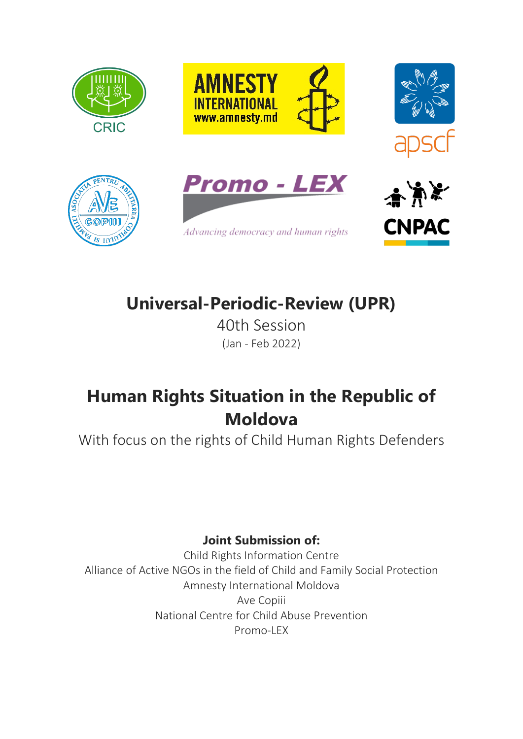











# **Universal-Periodic-Review (UPR)**

40th Session (Jan - Feb 2022)

## **Human Rights Situation in the Republic of Moldova**

With focus on the rights of Child Human Rights Defenders

## **Joint Submission of:**

Child Rights Information Centre Alliance of Active NGOs in the field of Child and Family Social Protection Amnesty International Moldova Ave Copiii National Centre for Child Abuse Prevention Promo-LEX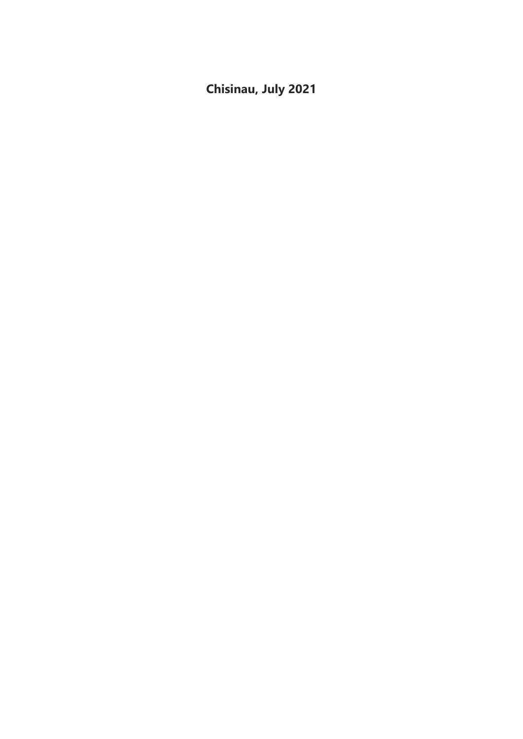**Chisinau, July 2021**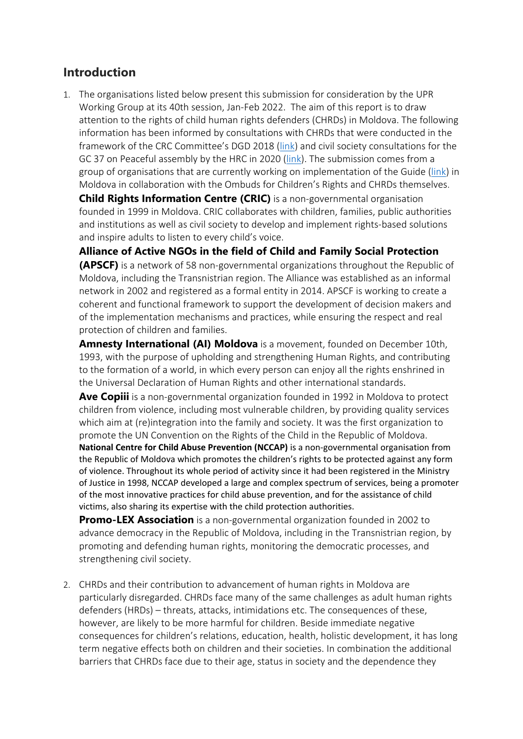#### **Introduction**

1. The organisations listed below present this submission for consideration by the UPR Working Group at its 40th session, Jan-Feb 2022. The aim of this report is to draw attention to the rights of child human rights defenders (CHRDs) in Moldova. The following information has been informed by consultations with CHRDs that were conducted in the framework of the CRC Committee'<sup>s</sup> DGD 2018 ([link](https://www.ohchr.org/EN/HRBodies/CRC/Pages/Discussion2018.aspx)) and civil society consultations for the GC 37 on Peaceful assembly by the HRC in 2020 ([link](https://www.ohchr.org/EN/HRBodies/CCPR/Pages/GCArticle21.aspx)). The submission comes from <sup>a</sup> group of organisations that are currently working on implementation of the Guide ([link](https://www.google.com/url?sa=t&rct=j&q=&esrc=s&source=web&cd=&ved=2ahUKEwjFsI3w07_xAhXwg_0HHbRbC-MQFnoECAMQAw&url=https%3A%2F%2Fwww.childrightsconnect.org%2Fwp-content%2Fuploads%2F2020%2F12%2Ffinal-implementation-guide-the-rights-of-child-human-rights-defenders-forweb.pdf&usg=AOvVaw1HT6HpeGmIzTRQQr3-WcM1)) in Moldova in collaboration with the Ombuds for Children'<sup>s</sup> Rights and CHRDs themselves.

**Child Rights Information Centre (CRIC)** is <sup>a</sup> non-governmental organisation founded in 1999 in Moldova. CRIC collaborates with children, families, public authorities and institutions as well as civil society to develop and implement rights-based solutions and inspire adults to listen to every child'<sup>s</sup> voice.

**Alliance of Active NGOs in the field of Child and Family Social Protection**

**(APSCF)** is <sup>a</sup> network of 58 non-governmental organizations throughout the Republic of Moldova, including the Transnistrian region. The Alliance was established as an informal network in 2002 and registered as <sup>a</sup> formal entity in 2014. APSCF is working to create <sup>a</sup> coherent and functional framework to support the development of decision makers and of the implementation mechanisms and practices, while ensuring the respect and real protection of children and families.

**Amnesty International (AI) Moldova** is <sup>a</sup> movement, founded on December 10th, 1993, with the purpose of upholding and strengthening Human Rights, and contributing to the formation of <sup>a</sup> world, in which every person can enjoy all the rights enshrined in the Universal Declaration of Human Rights and other international standards.

**Ave Copiii** is <sup>a</sup> non-governmental organization founded in <sup>1992</sup> in Moldova to protect children from violence, including most vulnerable children, by providing quality services which aim at (re)integration into the family and society. It was the first organization to promote the UN Convention on the Rights of the Child in the Republic of Moldova. **National Centre for Child Abuse Prevention (NCCAP)** is <sup>a</sup> non-governmental organisation from the Republic of Moldova which promotes the children'<sup>s</sup> rights to be protected against any form of violence. Throughout its whole period of activity since it had been registered in the Ministry of Justice in 1998, NCCAP developed <sup>a</sup> large and complex spectrum of services, being <sup>a</sup> promoter of the most innovative practices for child abuse prevention, and for the assistance of child victims, also sharing its expertise with the child protection authorities.

**Promo-LEX Association** is <sup>a</sup> non-governmental organization founded in 2002 to advance democracy in the Republic of Moldova, including in the Transnistrian region, by promoting and defending human rights, monitoring the democratic processes, and strengthening civil society.

2. CHRDs and their contribution to advancement of human rights in Moldova are particularly disregarded. CHRDs face many of the same challenges as adult human rights defenders (HRDs) – threats, attacks, intimidations etc. The consequences of these, however, are likely to be more harmful for children. Beside immediate negative consequences for children'<sup>s</sup> relations, education, health, holistic development, it has long term negative effects both on children and their societies. In combination the additional barriers that CHRDs face due to their age, status in society and the dependence they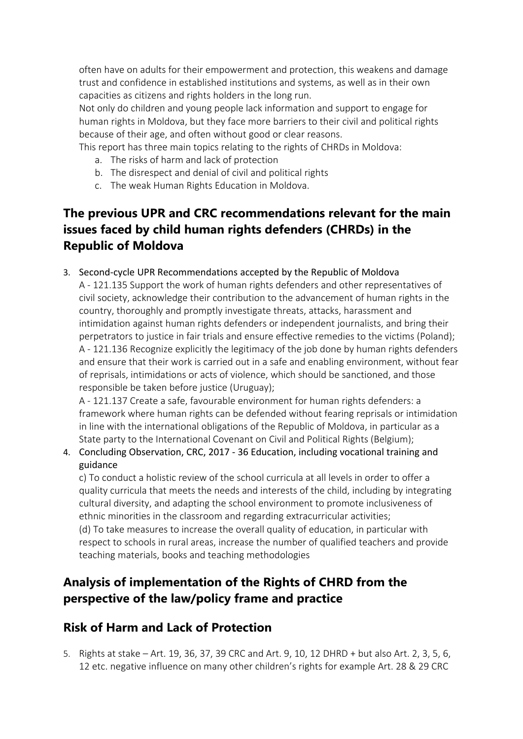often have on adults for their empowerment and protection, this weakens and damage trust and confidence in established institutions and systems, as well as in their own capacities as citizens and rights holders in the long run.

Not only do children and young people lack information and support to engage for human rights in Moldova, but they face more barriers to their civil and political rights because of their age, and often without good or clear reasons.

This report has three main topics relating to the rights of CHRDs in Moldova:

- a. The risks of harm and lack of protection
- b. The disrespect and denial of civil and political rights
- c. The weak Human Rights Education in Moldova.

## **The previous UPR and CRC recommendations relevant for the main issues faced by child human rights defenders (CHRDs) in the Republic of Moldova**

3. Second-cycle UPR Recommendations accepted by the Republic of Moldova A - 121.135 Support the work of human rights defenders and other representatives of civil society, acknowledge their contribution to the advancement of human rights in the country, thoroughly and promptly investigate threats, attacks, harassment and intimidation against human rights defenders or independent journalists, and bring their perpetrators to justice in fair trials and ensure effective remedies to the victims (Poland); A - 121.136 Recognize explicitly the legitimacy of the job done by human rights defenders and ensure that their work is carried out in <sup>a</sup> safe and enabling environment, without fear of reprisals, intimidations or acts of violence, which should be sanctioned, and those responsible be taken before justice (Uruguay);

A - 121.137 Create <sup>a</sup> safe, favourable environment for human rights defenders: <sup>a</sup> framework where human rights can be defended without fearing reprisals or intimidation in line with the international obligations of the Republic of Moldova, in particular as <sup>a</sup> State party to the International Covenant on Civil and Political Rights (Belgium);

4. Concluding Observation, CRC, 2017 - 36 Education, including vocational training and guidance

c) To conduct <sup>a</sup> holistic review of the school curricula at all levels in order to offer <sup>a</sup> quality curricula that meets the needs and interests of the child, including by integrating cultural diversity, and adapting the school environment to promote inclusiveness of ethnic minorities in the classroom and regarding extracurricular activities; (d) To take measures to increase the overall quality of education, in particular with respect to schools in rural areas, increase the number of qualified teachers and provide teaching materials, books and teaching methodologies

### **Analysis of implementation of the Rights of CHRD from the perspective of the law/policy frame and practice**

### **Risk of Harm and Lack of Protection**

5. Rights at stake – Art. 19, 36, 37, 39 CRC and Art. 9, 10, 12 DHRD <sup>+</sup> but also Art. 2, 3, 5, 6, 12 etc. negative influence on many other children'<sup>s</sup> rights for example Art. 28 & 29 CRC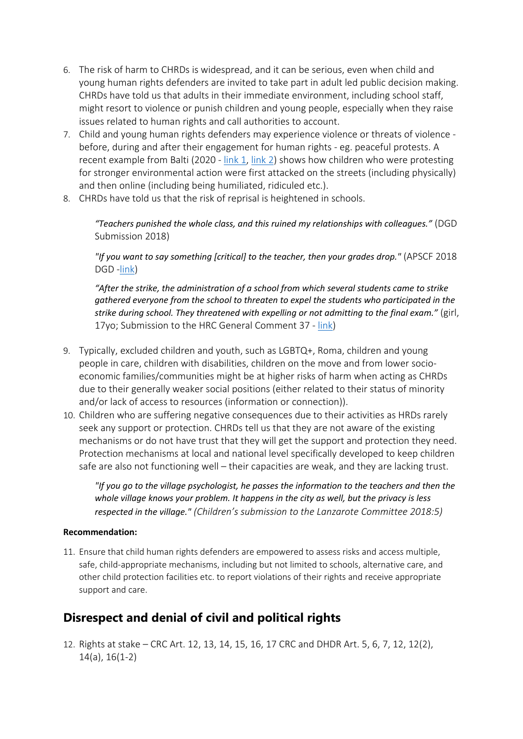- 6. The risk of harm to CHRDs is widespread, and it can be serious, even when child and young human rights defenders are invited to take part in adult led public decision making. CHRDs have told us that adults in their immediate environment, including school staff, might resort to violence or punish children and young people, especially when they raise issues related to human rights and call authorities to account.
- 7. Child and young human rights defenders may experience violence or threats of violence before, during and after their engagement for human rights - eg. peaceful protests. A recent example from Balti (2020 - [link](https://www.instagram.com/tv/CFkZqfYhKRd/?utm_source=ig_web_copy_link) 1, [link](https://monitor.drepturilecopilului.md/adolescentii-cer-autoritatilor-sa-declare-criza-de-mediu-in-republica-moldova/) 2) shows how children who were protesting for stronger environmental action were first attacked on the streets (including physically) and then online (including being humiliated, ridiculed etc.).
- 8. CHRDs have told us that the risk of reprisal is heightened in schools.

*"Teachers punished the whole class, and this ruined my relationships with colleagues."* (DGD Submission 2018)

*"If you want to say something [critical] to the teacher, then your grades drop."* (APSCF 2018 DGD -link)

*"After the strike, the administration of <sup>a</sup> school from which several students came to strike gathered everyone from the school to threaten to expel the students who participated in the strike during school. They threatened with expelling or not admitting to the final exam."* (girl, 17yo; Submission to the HRC General Comment 37 - [link](https://www.ohchr.org/Documents/HRBodies/CCPR/GCArticle21/NGO_CRIC.pdf))

- 9. Typically, excluded children and youth, such as LGBTQ+, Roma, children and young people in care, children with disabilities, children on the move and from lower socioeconomic families/communities might be at higher risks of harm when acting as CHRDs due to their generally weaker social positions (either related to their status of minority and/or lack of access to resources (information or connection)).
- 10. Children who are suffering negative consequences due to their activities as HRDs rarely seek any support or protection. CHRDs tell us that they are not aware of the existing mechanisms or do not have trust that they will get the support and protection they need. Protection mechanisms at local and national level specifically developed to keep children safe are also not functioning well – their capacities are weak, and they are lacking trust.

*"If you go to the village psychologist, he passes the information to the teachers and then the whole village knows your problem. It happens in the city as well, but the privacy is less respected in the village." (Children'<sup>s</sup> submission to the Lanzarote Committee 2018:5)*

#### **Recommendation:**

11. Ensure that child human rights defenders are empowered to assess risks and access multiple, safe, child-appropriate mechanisms, including but not limited to schools, alternative care, and other child protection facilities etc. to report violations of their rights and receive appropriate support and care.

### **Disrespect and denial of civil and political rights**

12. Rights at stake – CRC Art. 12, 13, 14, 15, 16, 17 CRC and DHDR Art. 5, 6, 7, 12, 12(2), 14(a), 16(1-2)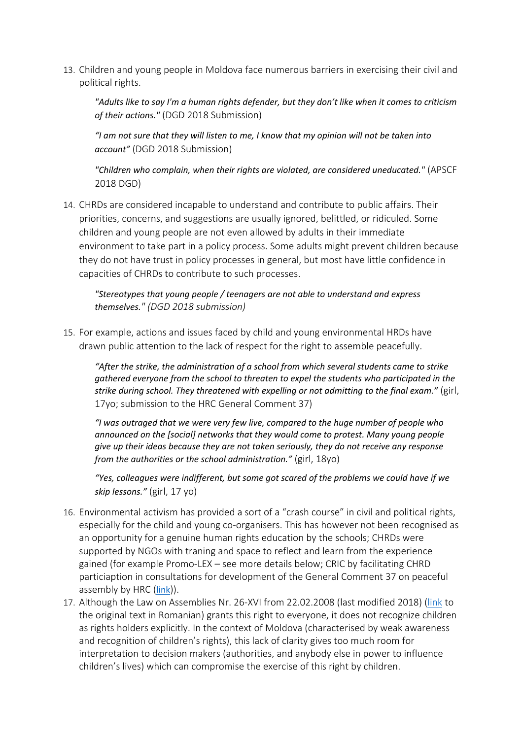13. Children and young people in Moldova face numerous barriers in exercising their civil and political rights.

"Adults like to say I'm a human rights defender, but they don't like when it comes to criticism *of their actions."* (DGD 2018 Submission)

"I am not sure that they will listen to me, I know that my opinion will not be taken into *account"* (DGD 2018 Submission)

*"Children who complain, when their rights are violated, are considered uneducated."* (APSCF 2018 DGD)

14. CHRDs are considered incapable to understand and contribute to public affairs. Their priorities, concerns, and suggestions are usually ignored, belittled, or ridiculed. Some children and young people are not even allowed by adults in their immediate environment to take part in <sup>a</sup> policy process. Some adults might prevent children because they do not have trust in policy processes in general, but most have little confidence in capacities of CHRDs to contribute to such processes.

*"Stereotypes that young people / teenagers are not able to understand and express themselves." (DGD 2018 submission)*

15. For example, actions and issues faced by child and young environmental HRDs have drawn public attention to the lack of respect for the right to assemble peacefully.

*"After the strike, the administration of <sup>a</sup> school from which several students came to strike gathered everyone from the school to threaten to expel the students who participated in the strike during school. They threatened with expelling or not admitting to the final exam."* (girl, 17yo; submission to the HRC General Comment 37)

*"I was outraged that we were very few live, compared to the huge number of people who announced on the [social] networks that they would come to protest. Many young people give up their ideas because they are not taken seriously, they do not receive any response from the authorities or the school administration."* (girl, 18yo)

*"Yes, colleagues were indifferent, but some got scared of the problems we could have if we skip lessons."* (girl, 17 yo)

- 16. Environmental activism has provided <sup>a</sup> sort of <sup>a</sup> "crash course" in civil and political rights, especially for the child and young co-organisers. This has however not been recognised as an opportunity for <sup>a</sup> genuine human rights education by the schools; CHRDs were supported by NGOs with traning and space to reflect and learn from the experience gained (for example Promo-LEX – see more details below; CRIC by facilitating CHRD particiaption in consultations for development of the General Comment 37 on peaceful assembly by HRC ([link](https://www.ohchr.org/Documents/HRBodies/CCPR/GCArticle21/NGO_CRIC.pdf))).
- 17. Although the Law on Assemblies Nr. 26-XVI from 22.02.2008 (last modified 2018) ([link](https://www.legis.md/cautare/getResults?doc_id=110166&lang=ro) to the original text in Romanian) grants this right to everyone, it does not recognize children as rights holders explicitly. In the context of Moldova (characterised by weak awareness and recognition of children'<sup>s</sup> rights), this lack of clarity gives too much room for interpretation to decision makers (authorities, and anybody else in power to influence children'<sup>s</sup> lives) which can compromise the exercise of this right by children.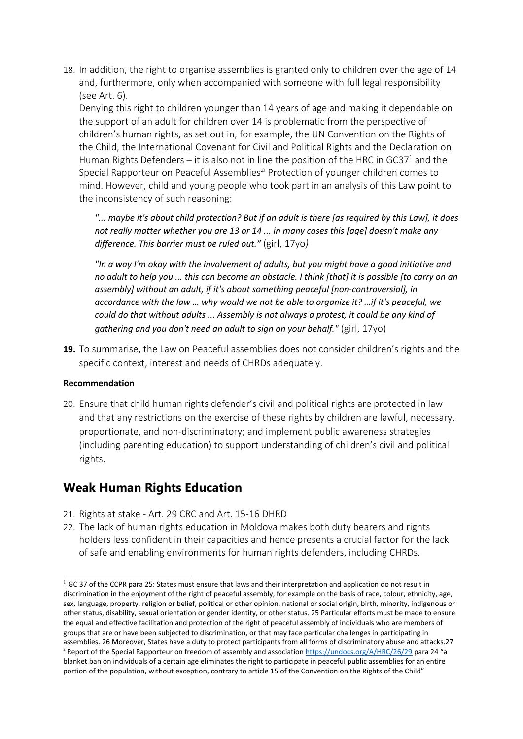18. In addition, the right to organise assemblies is granted only to children over the age of 14 and, furthermore, only when accompanied with someone with full legal responsibility (see Art. 6).

Denying this right to children younger than 14 years of age and making it dependable on the support of an adult for children over 14 is problematic from the perspective of children'<sup>s</sup> human rights, as set out in, for example, the UN Convention on the Rights of the Child, the International Covenant for Civil and Political Rights and the Declaration on Human Rights Defenders — it is also not in line the position of the HRC in GC37 $^{\rm 1}$  and the Special Rapporteur on Peaceful Assemblies<sup>2i</sup> Protection of younger children comes to mind. However, child and young people who took part in an analysis of this Law point to the inconsistency of such reasoning:

"... maybe it's about child protection? But if an adult is there [as required by this Law], it does *not really matter whether you are 13 or 14 ... in many cases this [age] doesn't make any difference. This barrier must be ruled out."* (girl, 17yo*)*

*"In <sup>a</sup> way I'm okay with the involvement of adults, but you might have <sup>a</sup> good initiative and* no adult to help you ... this can become an obstacle. I think [that] it is possible [to carry on an *assembly] without an adult, if it's about something peaceful [non-controversial], in accordance with the law … why would we not be able to organize it? …if it's peaceful, we could do that without adults ... Assembly is not always <sup>a</sup> protest, it could be any kind of gathering and you don't need an adult to sign on your behalf."* (girl, 17yo)

**19.** To summarise, the Law on Peaceful assemblies does not consider children'<sup>s</sup> rights and the specific context, interest and needs of CHRDs adequately.

#### **Recommendation**

20. Ensure that child human rights defender'<sup>s</sup> civil and political rights are protected in law and that any restrictions on the exercise of these rights by children are lawful, necessary, proportionate, and non-discriminatory; and implement public awareness strategies (including parenting education) to support understanding of children'<sup>s</sup> civil and political rights.

#### **Weak Human Rights Education**

- 21. Rights at stake Art. 29 CRC and Art. 15-16 DHRD
- 22. The lack of human rights education in Moldova makes both duty bearers and rights holders less confident in their capacities and hence presents <sup>a</sup> crucial factor for the lack of safe and enabling environments for human rights defenders, including CHRDs.

 $1$  GC 37 of the CCPR para 25: States must ensure that laws and their interpretation and application do not result in discrimination in the enjoyment of the right of peaceful assembly, for example on the basis of race, colour, ethnicity, age, sex, language, property, religion or belief, political or other opinion, national or social origin, birth, minority, indigenous or other status, disability, sexual orientation or gender identity, or other status. 25 Particular efforts must be made to ensure the equal and effective facilitation and protection of the right of peaceful assembly of individuals who are members of groups that are or have been subjected to discrimination, or that may face particular challenges in participating in assemblies. 26 Moreover, States have <sup>a</sup> duty to protect participants from all forms of discriminatory abuse and attacks.27 <sup>2</sup> Report of the Special Rapporteur on freedom of assembly and association <https://undocs.org/A/HRC/26/29> para 24 "a blanket ban on individuals of <sup>a</sup> certain age eliminates the right to participate in peaceful public assemblies for an entire portion of the population, without exception, contrary to article 15 of the Convention on the Rights of the Child"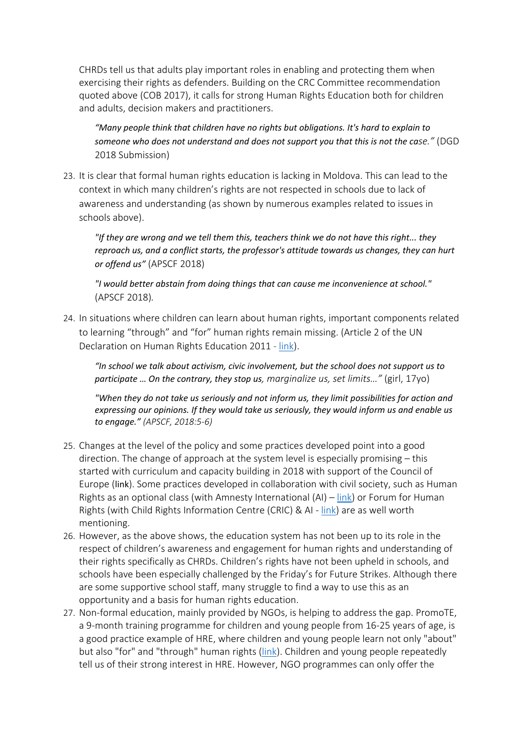CHRDs tell us that adults play important roles in enabling and protecting them when exercising their rights as defenders. Building on the CRC Committee recommendation quoted above (COB 2017), it calls for strong Human Rights Education both for children and adults, decision makers and practitioners.

*"Many people think that children have no rights but obligations. It's hard to explain to someone who does not understand and does not support you that this is not the case."* (DGD 2018 Submission)

23. It is clear that formal human rights education is lacking in Moldova. This can lead to the context in which many children'<sup>s</sup> rights are not respected in schools due to lack of awareness and understanding (as shown by numerous examples related to issues in schools above).

*"If they are wrong and we tell them this, teachers think we do not have this right... they reproach us, and <sup>a</sup> conflict starts, the professor's attitude towards us changes, they can hurt or offend us"* (APSCF 2018)

*"I would better abstain from doing things that can cause me inconvenience at school."* (APSCF 2018)*.*

24. In situations where children can learn about human rights, important components related to learning "through" and "for" human rights remain missing. (Article 2 of the UN Declaration on Human Rights Education 2011 - [link](http://daccess-ods.un.org/access.nsf/Get?OpenAgent&DS=A/RES/66/137&Lang=E)).

*"In school we talk about activism, civic involvement, but the school does not support us to participate … On the contrary, they stop us, marginalize us, set limits…"* (girl, 17yo)

*"When they do not take us seriously and not inform us, they limit possibilities for action and expressing our opinions. If they would take us seriously, they would inform us and enable us to engage." (APSCF, 2018:5-6)*

- 25. Changes at the level of the policy and some practices developed point into <sup>a</sup> good direction. The change of approach at the system level is especially promising – this started with curriculum and capacity building in 2018 with support of the Council of Europe ([link](https://www.coe.int/en/web/education/project-education-for-democracy-in-the-republic-of-moldova)). Some practices developed in collaboration with civil society, such as Human Rights as an optional class (with Amnesty International (AI) – [link](https://www.amnesty.org/en/latest/education/2019/06/moldova-national-human-rights-curricula/)) or Forum for Human Rights (with Child Rights Information Centre (CRIC) & AI - [link](https://www.amnesty.org/en/latest/education/2020/08/over-1000-students-from-moldova-participate-in-the-online-human-rights-olympics/)) are as well worth mentioning.
- 26. However, as the above shows, the education system has not been up to its role in the respect of children'<sup>s</sup> awareness and engagement for human rights and understanding of their rights specifically as CHRDs. Children'<sup>s</sup> rights have not been upheld in schools, and schools have been especially challenged by the Friday'<sup>s</sup> for Future Strikes. Although there are some supportive school staff, many struggle to find <sup>a</sup> way to use this as an opportunity and <sup>a</sup> basis for human rights education.
- 27. Non-formal education, mainly provided by NGOs, is helping to address the gap. PromoTE, <sup>a</sup> 9-month training programme for children and young people from 16-25 years of age, is <sup>a</sup> good practice example of HRE, where children and young people learn not only "about" but also "for" and "through" human rights ([link](https://promolex.md/16223-asociatia-promo-lex-lanseaza-a-doua-editie-a-programului-promote/?lang=ro&__cf_chl_jschl_tk__=50b25dd7e22902c2fce809a55a8cb51614cd25f1-1625722754-0-Aekxk8PAmJ3VBd0O752Vr9DMVpJTHTKy8XqrCSLKhJ701KGgevE5waTQ9AA8ZYjhHIMIrW4W13DVGYfJF9-rluHN4iSPM0cvFzI8-7bcIpzMTGg9uaWSjQGePiAy5WTjNCGOTUvOVukKAdGvZi-t2dWOoDf_LAOy54w2QTjyowhh01hUN2j96lHv68z3Mdj5GJ8xNWj_FUARVYtjALH4Mmmu1kCRGgSXeoWbRb5KqhOI1X0nwtF8NzDjMTbC7qweFshNXTkxSTIKMQHfcKTU9V9t6wm8CVlMzQeRHtR3r9R-HrXLMPjSS_8_pmQgIpK3Ht13S0_HJsZZagRaIA6rGJvJ4jsdh7er3UBfUysdmS18db9Z8Sbj9sgiuOJHhL4XY2jfduptsOnAMs23SyzrL6wln3sa2J400_kz0IfbPa3Ntva7zoPTYxp7gTtLuuKmmt7E_XKFpSLXOltVri93QNG7NS6QwCpskXCZRzYHq6aWlkfxXMNlNsFW_hjdhBh6Cp3xWmp1SjGla-G0gmCV-fXz889aiH8bq_-3RAHYGPvTXDsL74KnHl3D1adWfbn7gA)). Children and young people repeatedly tell us of their strong interest in HRE. However, NGO programmes can only offer the